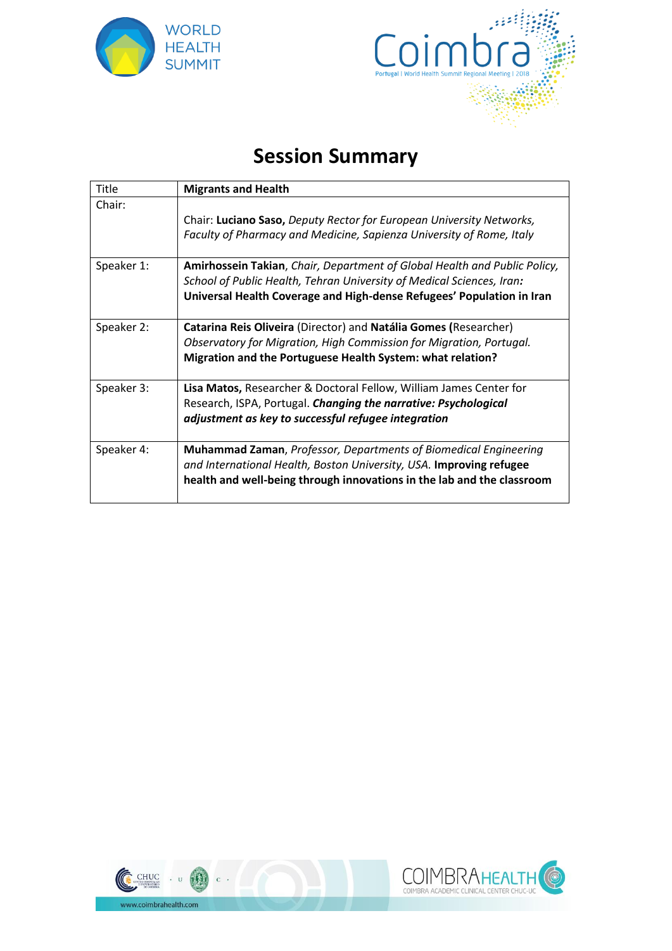



## **Session Summary**

| Title      | <b>Migrants and Health</b>                                                                                                                                                                                                  |
|------------|-----------------------------------------------------------------------------------------------------------------------------------------------------------------------------------------------------------------------------|
| Chair:     | Chair: Luciano Saso, Deputy Rector for European University Networks,<br>Faculty of Pharmacy and Medicine, Sapienza University of Rome, Italy                                                                                |
| Speaker 1: | Amirhossein Takian, Chair, Department of Global Health and Public Policy,<br>School of Public Health, Tehran University of Medical Sciences, Iran:<br>Universal Health Coverage and High-dense Refugees' Population in Iran |
| Speaker 2: | Catarina Reis Oliveira (Director) and Natália Gomes (Researcher)<br>Observatory for Migration, High Commission for Migration, Portugal.<br>Migration and the Portuguese Health System: what relation?                       |
| Speaker 3: | Lisa Matos, Researcher & Doctoral Fellow, William James Center for<br>Research, ISPA, Portugal. Changing the narrative: Psychological<br>adjustment as key to successful refugee integration                                |
| Speaker 4: | <b>Muhammad Zaman, Professor, Departments of Biomedical Engineering</b><br>and International Health, Boston University, USA. Improving refugee<br>health and well-being through innovations in the lab and the classroom    |